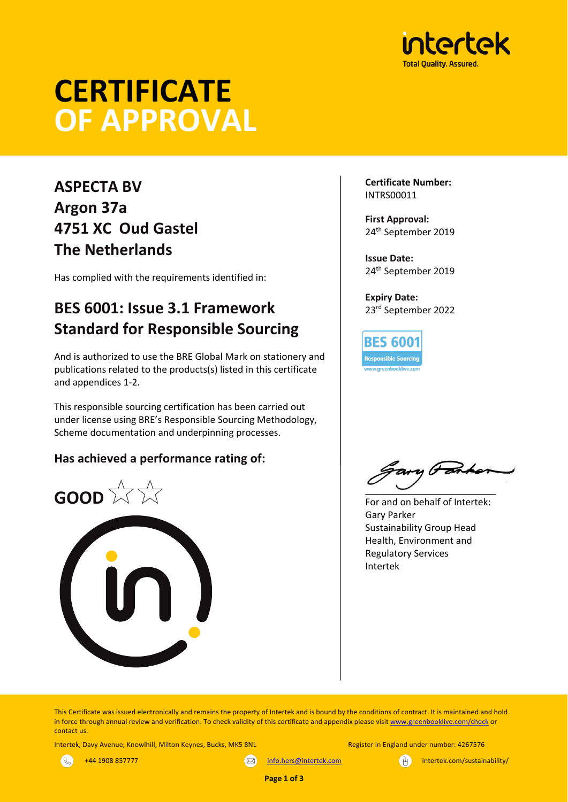

# **CERTIFICATE OF APPROVAL**

# **ASPECTA BV Argon 37a 4751 XC Oud Gastel The Netherlands**

Has complied with the requirements identified in:

# **BES 6001: Issue 3.1 Framework Standard for Responsible Sourcing**

And is authorized to use the BRE Global Mark on stationery and publications related to the products(s) listed in this certificate and appendices 1-2.

This responsible sourcing certification has been carried out under license using BRE's Responsible Sourcing Methodology, Scheme documentation and underpinning processes.

## **Has achieved a performance rating of:**



**Certificate Number:** INTRS00011

**First Approval:** 24th September 2019

**Issue Date:** 24th September 2019

**Expiry Date:** 23rd September 2022

**BES 6001 Responsible Sourcing** 

 $\overline{\phantom{a}}$   $\overline{\phantom{a}}$   $\overline{\phantom{a}}$   $\overline{\phantom{a}}$   $\overline{\phantom{a}}$   $\overline{\phantom{a}}$   $\overline{\phantom{a}}$   $\overline{\phantom{a}}$   $\overline{\phantom{a}}$   $\overline{\phantom{a}}$   $\overline{\phantom{a}}$   $\overline{\phantom{a}}$   $\overline{\phantom{a}}$   $\overline{\phantom{a}}$   $\overline{\phantom{a}}$   $\overline{\phantom{a}}$   $\overline{\phantom{a}}$   $\overline{\phantom{a}}$   $\overline{\$ 

For and on behalf of Intertek: Gary Parker Sustainability Group Head Health, Environment and Regulatory Services Intertek

This Certificate was issued electronically and remains the property of Intertek and is bound by the conditions of contract. It is maintained and hold in force through annual review and verification. To check validity of this certificate and appendix please visit www.greenbooklive.com/check or contact us.

Intertek, Davy Avenue, Knowlhill, Milton Keynes, Bucks, MK5 8NL Register in England under number: 4267576



+44 1908 857777 info.hers@intertek.com intertek.com intertek.com/sustainability/



**Page 1 of 3**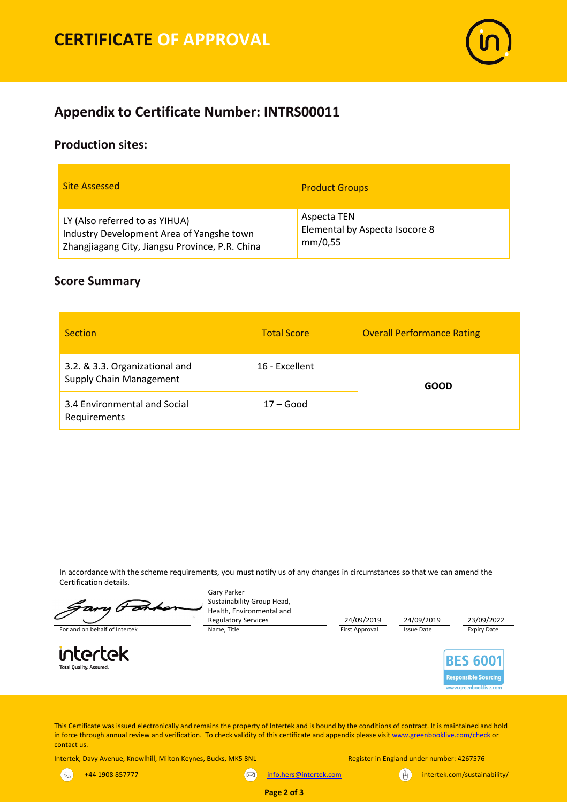

## **Appendix to Certificate Number: INTRS00011**

#### **Production sites:**

| <b>Site Assessed</b>                            | <b>Product Groups</b>          |
|-------------------------------------------------|--------------------------------|
| LY (Also referred to as YIHUA)                  | Aspecta TEN                    |
| Industry Development Area of Yangshe town       | Elemental by Aspecta Isocore 8 |
| Zhangjiagang City, Jiangsu Province, P.R. China | mm/0,55                        |

#### **Score Summary**

| <b>Section</b>                                                   | <b>Total Score</b> | <b>Overall Performance Rating</b> |  |
|------------------------------------------------------------------|--------------------|-----------------------------------|--|
| 3.2. & 3.3. Organizational and<br><b>Supply Chain Management</b> | 16 - Excellent     | GOOD                              |  |
| 3.4 Environmental and Social<br>Requirements                     | $17 - Good$        |                                   |  |

In accordance with the scheme requirements, you must notify us of any changes in circumstances so that we can amend the Certification details.

C For and on behalf of Intertek Name, Title Name, Title First Approval Issue Date Expiry Date

intertek **Total Quality, Assured** 

Gary Parker Sustainability Group Head, Health, Environmental and

Regulatory Services 24/09/2019 24/09/2019 23/09/2022<br>
Name, Title **24/09/2019** 24/09/2019 24/09/2019 25sue Date 25 24/09/2019



This Certificate was issued electronically and remains the property of Intertek and is bound by the conditions of contract. It is maintained and hold in force through annual review and verification. To check validity of this certificate and appendix please visit www.greenbooklive.com/check or contact us.

**Page 2 of 3**

Intertek, Davy Avenue, Knowlhill, Milton Keynes, Bucks, MK5 8NL Register in England under number: 4267576

 $\mathcal{S}$